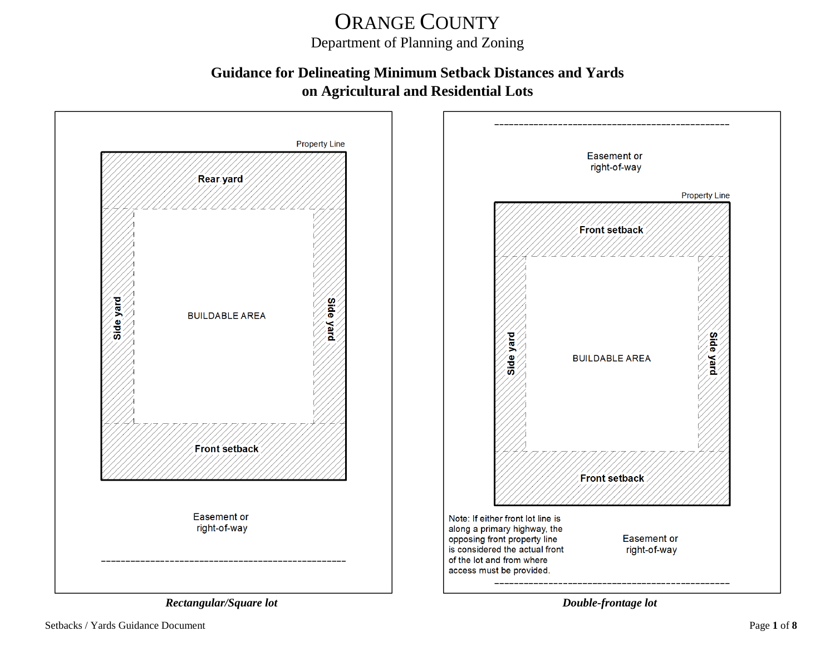# ORANGE COUNTY

Department of Planning and Zoning

#### **Guidance for Delineating Minimum Setback Distances and Yards on Agricultural and Residential Lots**



Setbacks / Yards Guidance Document Page **1** of **8**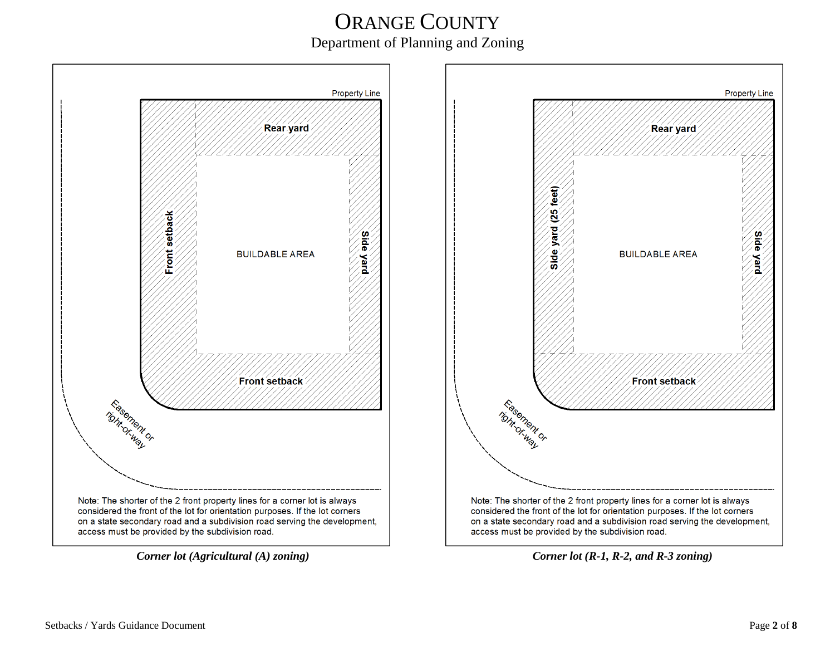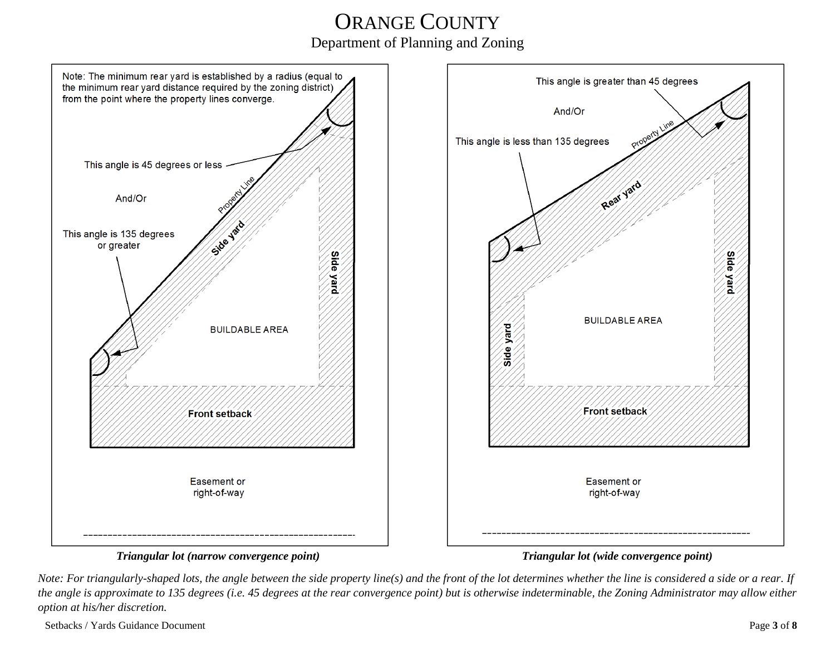

*Note: For triangularly-shaped lots, the angle between the side property line(s) and the front of the lot determines whether the line is considered a side or a rear. If the angle is approximate to 135 degrees (i.e. 45 degrees at the rear convergence point) but is otherwise indeterminable, the Zoning Administrator may allow either option at his/her discretion.*

Setbacks / Yards Guidance Document Page **3** of **8**

**Side** 

yard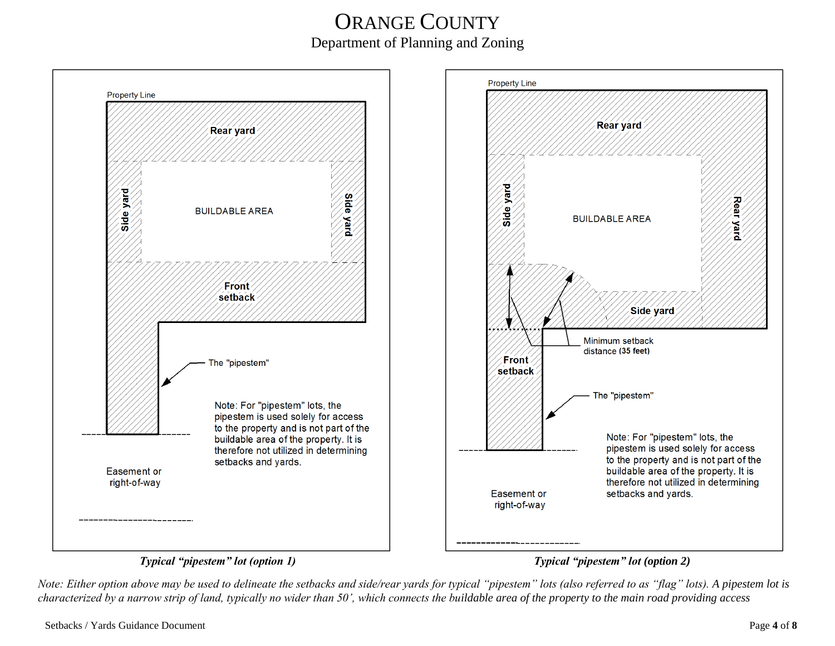



#### *Typical "pipestem" lot (option 1) Typical "pipestem" lot (option 2)*

*Note: Either option above may be used to delineate the setbacks and side/rear yards for typical "pipestem" lots (also referred to as "flag" lots). A pipestem lot is characterized by a narrow strip of land, typically no wider than 50', which connects the buildable area of the property to the main road providing access*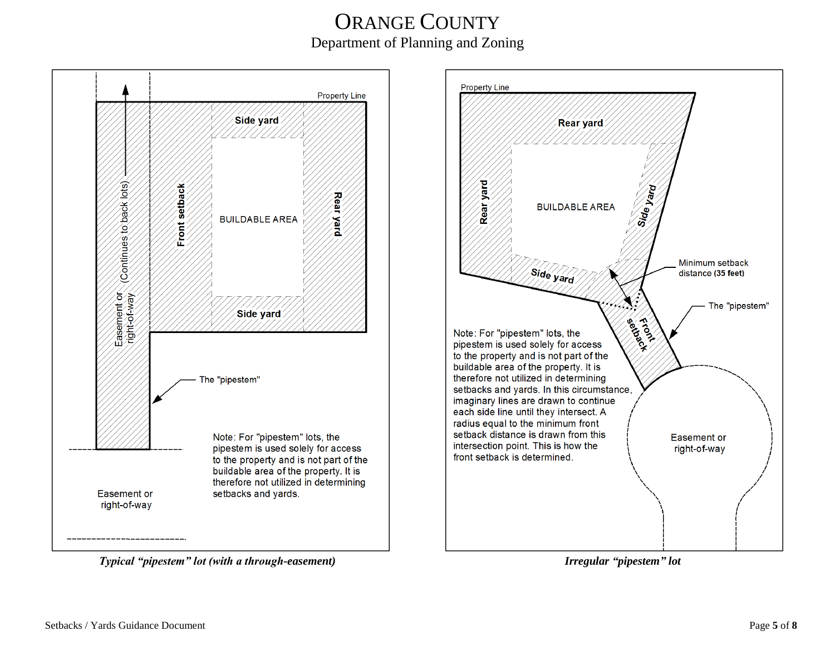

 *Typical "pipestem" lot (with a through-easement) Irregular "pipestem" lot*



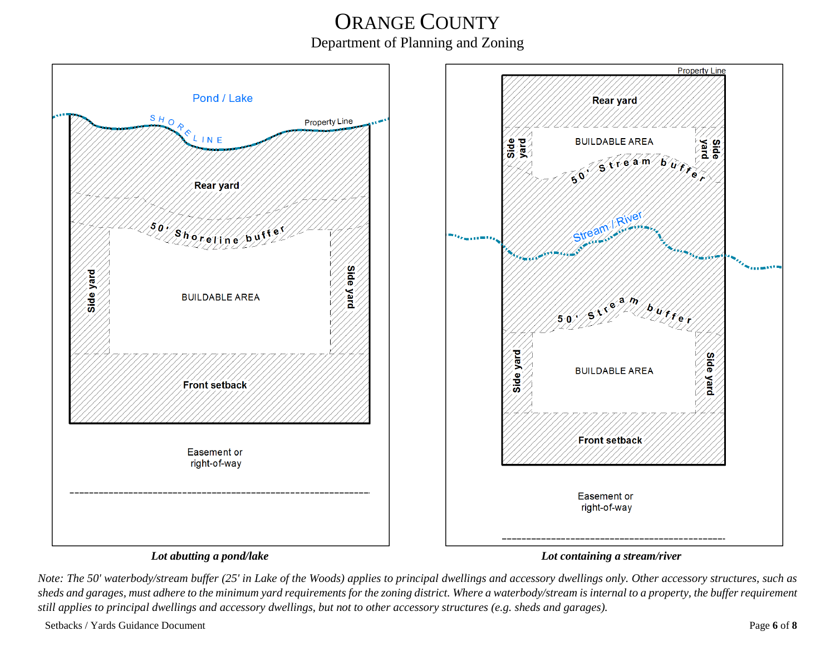

#### *Lot abutting a pond/lake Lot containing a stream/river*

*Note: The 50' waterbody/stream buffer (25' in Lake of the Woods) applies to principal dwellings and accessory dwellings only. Other accessory structures, such as sheds and garages, must adhere to the minimum yard requirements for the zoning district. Where a waterbody/stream is internal to a property, the buffer requirement still applies to principal dwellings and accessory dwellings, but not to other accessory structures (e.g. sheds and garages).*

Setbacks / Yards Guidance Document Page **6** of **8**

**Property Line** 

**Side** 

Side yard

ina a <sub>de la companya de la terme de l</sub>a companya de la terme de la terme de la terme de la terme de la terme de<br>Desenvolver de la terme de la terme de la terme de la terme de la terme de la terme de la terme de la terme d

Rear yard

Extra am Burry

 $\frac{1}{2} \frac{1}{2} \frac{1}{2} \frac{1}{2} \frac{1}{2} \frac{1}{2}$ 

River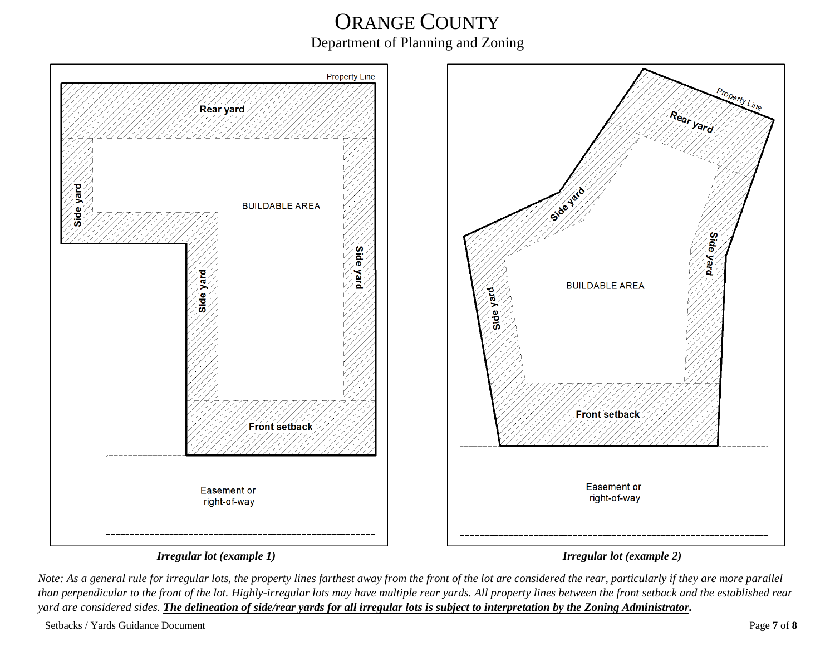

*Note: As a general rule for irregular lots, the property lines farthest away from the front of the lot are considered the rear, particularly if they are more parallel than perpendicular to the front of the lot. Highly-irregular lots may have multiple rear yards. All property lines between the front setback and the established rear yard are considered sides. The delineation of side/rear yards for all irregular lots is subject to interpretation by the Zoning Administrator.*

Setbacks / Yards Guidance Document Page **7** of **8**